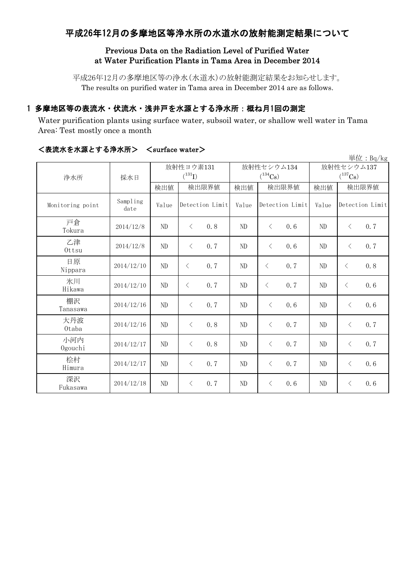## 平成26年12月の多摩地区等浄水所の水道水の放射能測定結果について

#### Previous Data on the Radiation Level of Purified Water at Water Purification Plants in Tama Area in December 2014

平成26年12月の多摩地区等の浄水(水道水)の放射能測定結果をお知らせします。 The results on purified water in Tama area in December 2014 are as follows.

### 1 多摩地区等の表流水・伏流水・浅井戸を水源とする浄水所:概ね月1回の測定

Water purification plants using surface water, subsoil water, or shallow well water in Tama Area: Test mostly once a month

| 単位: Bq/kg        |                  |          |                          |       |                            |              |                                    |  |  |
|------------------|------------------|----------|--------------------------|-------|----------------------------|--------------|------------------------------------|--|--|
| 浄水所              | 採水日              |          | 放射性ヨウ素131<br>$(^{131}I)$ |       | 放射性セシウム134<br>$(^{134}Cs)$ | 放射性セシウム137   |                                    |  |  |
|                  |                  |          |                          |       |                            | $(^{137}Cs)$ |                                    |  |  |
|                  |                  | 検出値      | 検出限界値                    | 検出値   | 検出限界値                      | 検出値          | 検出限界値                              |  |  |
| Monitoring point | Sampling<br>date | Value    | Detection Limit          | Value | Detection Limit            | Value        | Detection Limit                    |  |  |
| 戸倉<br>Tokura     | 2014/12/8        | ND       | 0, 8<br>$\langle$        | ND    | $\lt$<br>0.6               | ND           | 0, 7<br>$\lt$                      |  |  |
| 乙津<br>Ottsu      | 2014/12/8        | ND       | 0, 7<br>$\langle$        | ND    | $\langle$<br>0.6           | ND           | 0.7<br>$\langle$                   |  |  |
| 日原<br>Nippara    | 2014/12/10       | $\rm ND$ | 0.7<br>$\langle$         | ND    | 0.7<br>$\lt$               | ND           | 0.8<br>$\lt$                       |  |  |
| 氷川<br>Hikawa     | 2014/12/10       | ND       | 0.7<br>$\langle$         | ND    | 0.7<br>$\lt$               | ND           | $\lt$<br>0.6                       |  |  |
| 棚沢<br>Tanasawa   | 2014/12/16       | ND       | 0.7<br>$\langle$         | ND    | 0.6<br>$\langle$           | ND           | 0.6<br>$\langle$                   |  |  |
| 大丹波<br>0taba     | 2014/12/16       | ND       | 0.8<br>$\langle$         | ND    | $\langle$<br>0.7           | ND           | 0.7<br>$\langle$                   |  |  |
| 小河内<br>Ogouchi   | 2014/12/17       | ND       | 0.8<br>$\lt$             | ND    | $\langle$<br>0.7           | ND           | $\hspace{0.1mm}\big\langle$<br>0.7 |  |  |
| 桧村<br>Himura     | 2014/12/17       | ND       | 0.7<br>$\lt$             | ND    | $\langle$<br>0.7           | ND           | 0.6<br>$\langle$                   |  |  |
| 深沢<br>Fukasawa   | 2014/12/18       | ND       | 0.7<br>$\lt$             | ND    | 0.6<br>$\langle$           | ND           | 0.6<br>$\langle$                   |  |  |

#### <表流水を水源とする浄水所> <surface water>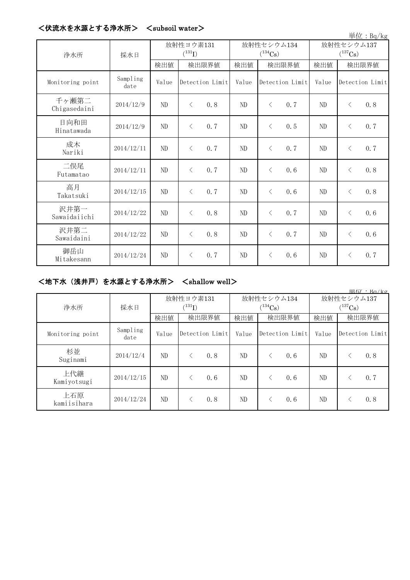| 単位: Bq/kg             |                  |                          |                   |  |                            |           |                 |                            |           |                 |
|-----------------------|------------------|--------------------------|-------------------|--|----------------------------|-----------|-----------------|----------------------------|-----------|-----------------|
| 浄水所                   | 採水日              | 放射性ヨウ素131<br>$(^{131}I)$ |                   |  | 放射性セシウム134<br>$(^{134}Cs)$ |           |                 | 放射性セシウム137<br>$(^{137}Cs)$ |           |                 |
|                       |                  | 検出値                      | 検出限界値             |  | 検出値                        | 検出限界値     |                 | 検出値                        | 検出限界値     |                 |
| Monitoring point      | Sampling<br>date | Value                    | Detection Limit   |  | Value                      |           | Detection Limit | Value                      |           | Detection Limit |
| 千ヶ瀬第二<br>Chigasedaini | 2014/12/9        | $\rm ND$                 | 0.8<br>$\langle$  |  | ND                         | $\langle$ | 0.7             | ND                         | $\langle$ | 0.8             |
| 日向和田<br>Hinatawada    | 2014/12/9        | ND                       | 0.7<br>$\langle$  |  | ND                         | $\langle$ | 0.5             | ND                         | $\lt$     | 0.7             |
| 成木<br>Nariki          | 2014/12/11       | ND                       | 0.7<br>$\langle$  |  | ND                         | $\langle$ | 0.7             | ND                         | $\langle$ | 0.7             |
| 二俣尾<br>Futamatao      | 2014/12/11       | $\rm ND$                 | 0.7<br>$\langle$  |  | ND                         | $\lt$     | 0.6             | ND                         | $\langle$ | 0.8             |
| 高月<br>Takatsuki       | 2014/12/15       | ND                       | 0.7<br>$\langle$  |  | $\rm ND$                   | $\langle$ | 0.6             | ND                         | $\langle$ | 0.8             |
| 沢井第一<br>Sawaidaiichi  | 2014/12/22       | $\rm ND$                 | 0, 8<br>$\langle$ |  | ND                         | $\lt$     | 0.7             | ND                         | $\langle$ | 0.6             |
| 沢井第二<br>Sawaidaini    | 2014/12/22       | ND                       | 0, 8<br>$\langle$ |  | N <sub>D</sub>             | $\langle$ | 0.7             | ND                         | $\langle$ | 0.6             |
| 御岳山<br>Mitakesann     | 2014/12/24       | ND                       | 0.7<br>$\lt$      |  | ND                         | $\lt$     | 0.6             | ND                         | $\langle$ | 0.7             |

### <伏流水を水源とする浄水所> <subsoil water>

# <地下水(浅井戸)を水源とする浄水所> <shallow well>

| 甲位・Ba/kg           |                  |                          |                 |       |                            |                            |                 |  |  |
|--------------------|------------------|--------------------------|-----------------|-------|----------------------------|----------------------------|-----------------|--|--|
| 浄水所                | 採水日              | 放射性ヨウ素131<br>$(^{131}I)$ |                 |       | 放射性セシウム134<br>$(^{134}Cs)$ | 放射性セシウム137<br>$(^{137}Cs)$ |                 |  |  |
|                    |                  | 検出値                      | 検出限界値           | 検出値   | 検出限界値                      | 検出値                        | 検出限界値           |  |  |
| Monitoring point   | Sampling<br>date | Value                    | Detection Limit | Value | Detection Limit            | Value                      | Detection Limit |  |  |
| 杉並<br>Suginami     | 2014/12/4        | ND                       | 0.8             | ND.   | 0.6                        | ND                         | 0.8             |  |  |
| 上代継<br>Kamiyotsugi | 2014/12/15       | ND                       | 0.6             | ND    | 0, 6                       | ND                         | 0, 7            |  |  |
| 上石原<br>kamiisihara | 2014/12/24       | ND                       | 0.8             | ND.   | 0.6                        | ND                         | 0.8             |  |  |